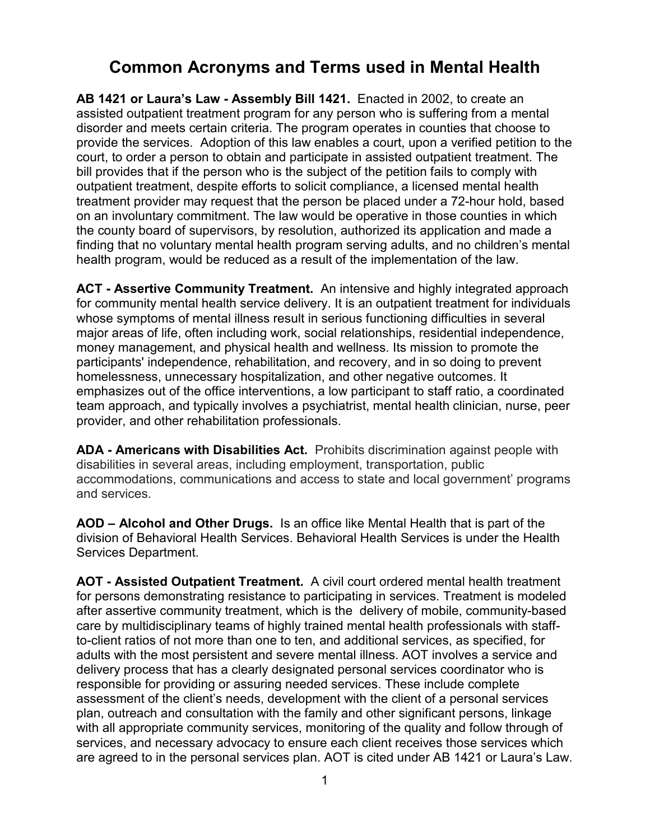## **Common Acronyms and Terms used in Mental Health**

**AB 1421 or Laura's Law - Assembly Bill 1421.** Enacted in 2002, to create an assisted outpatient treatment program for any person who is suffering from a mental disorder and meets certain criteria. The program operates in counties that choose to provide the services. Adoption of this law enables a court, upon a verified petition to the court, to order a person to obtain and participate in assisted outpatient treatment. The bill provides that if the person who is the subject of the petition fails to comply with outpatient treatment, despite efforts to solicit compliance, a licensed mental health treatment provider may request that the person be placed under a 72-hour hold, based on an involuntary commitment. The law would be operative in those counties in which the county board of supervisors, by resolution, authorized its application and made a finding that no voluntary mental health program serving adults, and no children's mental health program, would be reduced as a result of the implementation of the law.

**ACT - Assertive Community Treatment.** An intensive and highly integrated approach for community mental health service delivery. It is an outpatient treatment for individuals whose symptoms of mental illness result in serious functioning difficulties in several major areas of life, often including work, social relationships, residential independence, money management, and physical health and wellness. Its mission to promote the participants' independence, [rehabilitation,](http://en.wikipedia.org/wiki/Psychiatric_rehabilitation) and [recovery,](http://en.wikipedia.org/wiki/Recovery_model) and in so doing to prevent [homelessness,](http://en.wikipedia.org/wiki/Homelessness) unnecessary [hospitalization,](http://en.wikipedia.org/wiki/Mental_hospital) and other negative outcomes. It emphasizes out of the office interventions, a low participant to staff ratio, a coordinated team approach, and typically involves a psychiatrist, mental health clinician, nurse, peer provider, and other rehabilitation professionals.

**ADA - Americans with Disabilities Act.** Prohibits discrimination against people with disabilities in several areas, including employment, transportation, public accommodations, communications and access to state and local government' programs and services.

**AOD – Alcohol and Other Drugs.** Is an office like Mental Health that is part of the division of Behavioral Health Services. Behavioral Health Services is under the Health Services Department.

**AOT - Assisted Outpatient Treatment.** A civil court ordered mental health treatment for persons demonstrating resistance to participating in services. Treatment is modeled after assertive community treatment, which is the delivery of mobile, community-based care by multidisciplinary teams of highly trained mental health professionals with staffto-client ratios of not more than one to ten, and additional services, as specified, for adults with the most persistent and severe mental illness. AOT involves a service and delivery process that has a clearly designated personal services coordinator who is responsible for providing or assuring needed services. These include complete assessment of the client's needs, development with the client of a personal services plan, outreach and consultation with the family and other significant persons, linkage with all appropriate community services, monitoring of the quality and follow through of services, and necessary advocacy to ensure each client receives those services which are agreed to in the personal services plan. AOT is cited under AB 1421 or Laura's Law.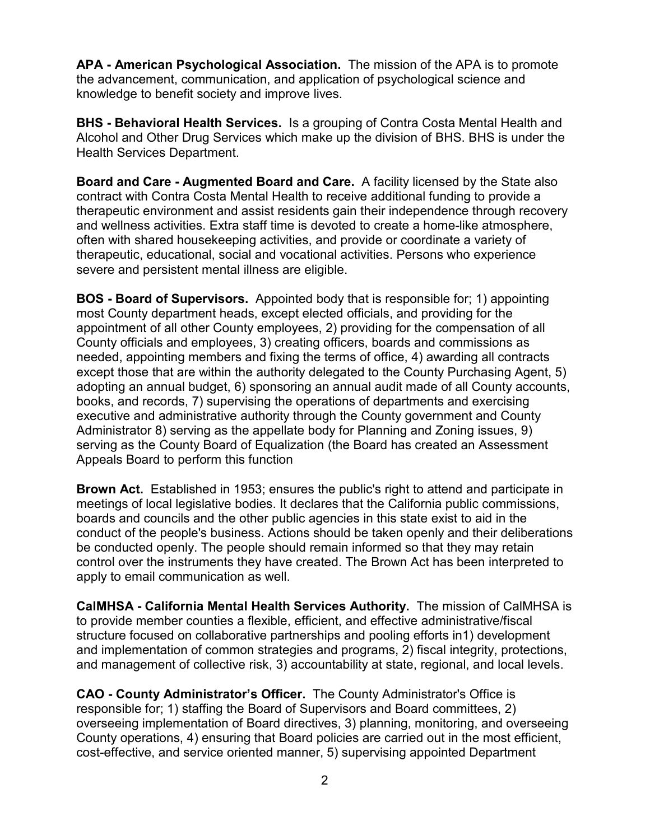**APA - American Psychological Association.** The mission of the APA is to promote the advancement, communication, and application of psychological science and knowledge to benefit society and improve lives.

**BHS - Behavioral Health Services.** Is a grouping of Contra Costa Mental Health and Alcohol and Other Drug Services which make up the division of BHS. BHS is under the Health Services Department.

**Board and Care - Augmented Board and Care.** A facility licensed by the State also contract with Contra Costa Mental Health to receive additional funding to provide a therapeutic environment and assist residents gain their independence through recovery and wellness activities. Extra staff time is devoted to create a home-like atmosphere, often with shared housekeeping activities, and provide or coordinate a variety of therapeutic, educational, social and vocational activities. Persons who experience severe and persistent mental illness are eligible.

**BOS - Board of Supervisors.** Appointed body that is responsible for; 1) appointing most County department heads, except elected officials, and providing for the appointment of all other County employees, 2) providing for the compensation of all County officials and employees, 3) creating officers, boards and commissions as needed, appointing members and fixing the terms of office, 4) awarding all contracts except those that are within the authority delegated to the County Purchasing Agent, 5) adopting an annual budget, 6) sponsoring an annual audit made of all County accounts, books, and records, 7) supervising the operations of departments and exercising executive and administrative authority through the County government and County Administrator 8) serving as the appellate body for Planning and Zoning issues, 9) serving as the County Board of Equalization (the Board has created an Assessment Appeals Board to perform this function

**Brown Act.** Established in 1953; ensures the public's right to attend and participate in meetings of local legislative bodies. It declares that the California public commissions, boards and councils and the other public agencies in this state exist to aid in the conduct of the people's business. Actions should be taken openly and their deliberations be conducted openly. The people should remain informed so that they may retain control over the instruments they have created. The Brown Act has been interpreted to apply to email communication as well.

**CalMHSA - California Mental Health Services Authority.** The mission of CalMHSA is to provide member counties a flexible, efficient, and effective administrative/fiscal structure focused on collaborative partnerships and pooling efforts in1) development and implementation of common strategies and programs, 2) fiscal integrity, protections, and management of collective risk, 3) accountability at state, regional, and local levels.

**CAO - County Administrator's Officer.** The County Administrator's Office is responsible for; 1) staffing the Board of Supervisors and Board committees, 2) overseeing implementation of Board directives, 3) planning, monitoring, and overseeing County operations, 4) ensuring that Board policies are carried out in the most efficient, cost-effective, and service oriented manner, 5) supervising appointed Department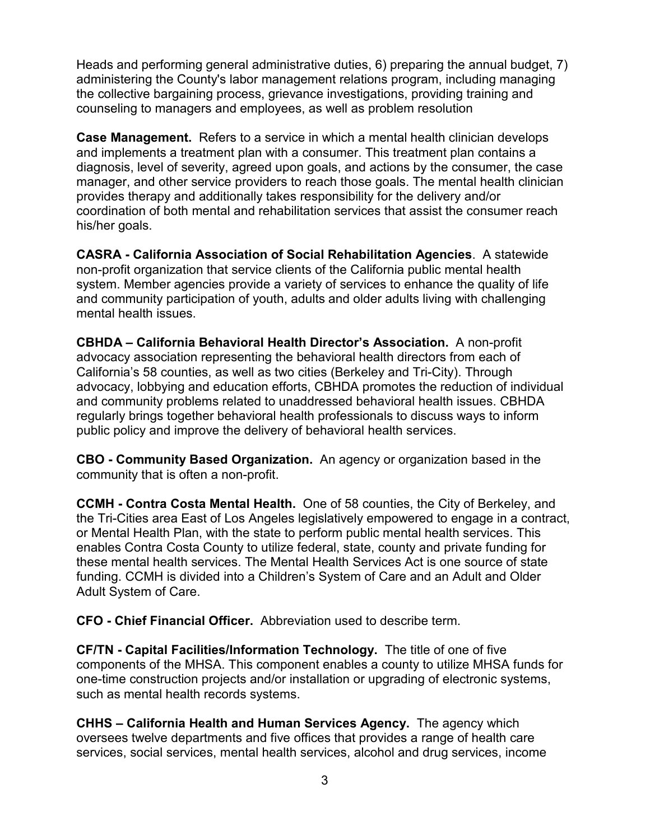Heads and performing general administrative duties, 6) preparing the annual budget, 7) administering the County's labor management relations program, including managing the collective bargaining process, grievance investigations, providing training and counseling to managers and employees, as well as problem resolution

**Case Management.** Refers to a service in which a mental health clinician develops and implements a treatment plan with a consumer. This treatment plan contains a diagnosis, level of severity, agreed upon goals, and actions by the consumer, the case manager, and other service providers to reach those goals. The mental health clinician provides therapy and additionally takes responsibility for the delivery and/or coordination of both mental and rehabilitation services that assist the consumer reach his/her goals.

**CASRA - California Association of Social Rehabilitation Agencies**. A statewide non-profit organization that service clients of the California public mental health system. Member agencies provide a variety of services to enhance the quality of life and community participation of youth, adults and older adults living with challenging mental health issues.

**CBHDA – California Behavioral Health Director's Association.** A non-profit advocacy association representing the behavioral health directors from each of California's 58 counties, as well as two cities (Berkeley and Tri-City). Through advocacy, lobbying and education efforts, CBHDA promotes the reduction of individual and community problems related to unaddressed behavioral health issues. CBHDA regularly brings together behavioral health professionals to discuss ways to inform public policy and improve the delivery of behavioral health services.

**CBO - Community Based Organization.** An agency or organization based in the community that is often a non-profit.

**CCMH - Contra Costa Mental Health.** One of 58 counties, the City of Berkeley, and the Tri-Cities area East of Los Angeles legislatively empowered to engage in a contract, or Mental Health Plan, with the state to perform public mental health services. This enables Contra Costa County to utilize federal, state, county and private funding for these mental health services. The Mental Health Services Act is one source of state funding. CCMH is divided into a Children's System of Care and an Adult and Older Adult System of Care.

**CFO - Chief Financial Officer.** Abbreviation used to describe term.

**CF/TN - Capital Facilities/Information Technology.** The title of one of five components of the MHSA. This component enables a county to utilize MHSA funds for one-time construction projects and/or installation or upgrading of electronic systems, such as mental health records systems.

**CHHS – California Health and Human Services Agency.** The agency which oversees twelve departments and five offices that provides a range of health care services, social services, mental health services, alcohol and drug services, income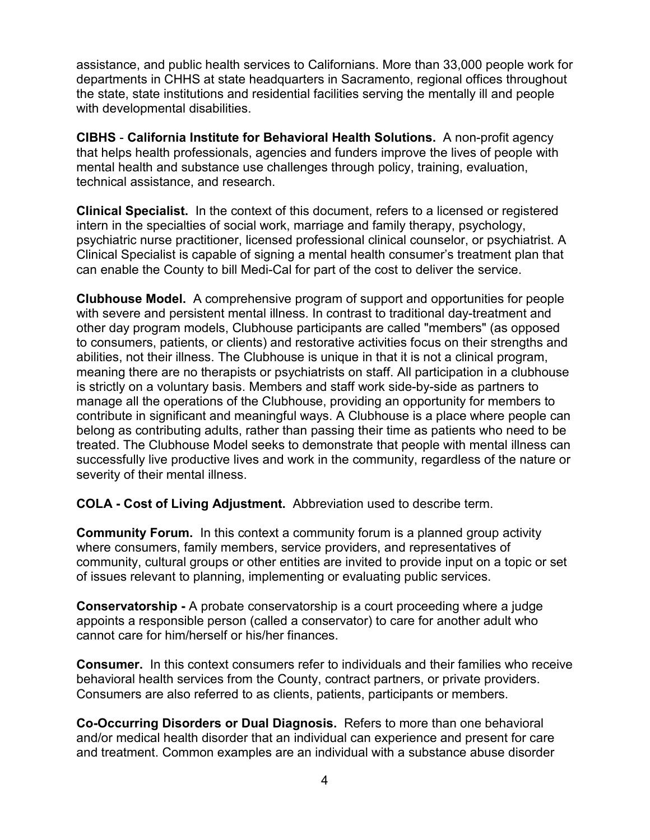assistance, and public health services to Californians. More than 33,000 people work for departments in CHHS at state headquarters in Sacramento, regional offices throughout the state, state institutions and residential facilities serving the mentally ill and people with developmental disabilities.

**CIBHS** - **California Institute for Behavioral Health Solutions.** A non-profit agency that helps health professionals, agencies and funders improve the lives of people with mental health and substance use challenges through policy, training, evaluation, technical assistance, and research.

**Clinical Specialist.** In the context of this document, refers to a licensed or registered intern in the specialties of social work, marriage and family therapy, psychology, psychiatric nurse practitioner, licensed professional clinical counselor, or psychiatrist. A Clinical Specialist is capable of signing a mental health consumer's treatment plan that can enable the County to bill Medi-Cal for part of the cost to deliver the service.

**Clubhouse Model.** A comprehensive program of support and opportunities for people with severe and persistent [mental illness.](http://en.wikipedia.org/wiki/Mental_illnesses) In contrast to traditional [day-treatment and](http://en.wikipedia.org/wiki/Partial_hospitalization)  [other day program](http://en.wikipedia.org/wiki/Partial_hospitalization) models, Clubhouse participants are called "members" (as opposed to consumers, patients, or clients) and restorative activities focus on their strengths and abilities, not their illness. The Clubhouse is unique in that it is not a clinical program, meaning there are no therapists or [psychiatrists](http://en.wikipedia.org/wiki/Psychiatrists) on staff. All participation in a clubhouse is strictly on a voluntary basis. Members and staff work side-by-side as partners to manage all the operations of the Clubhouse, providing an opportunity for members to contribute in significant and meaningful ways. A Clubhouse is a place where people can belong as contributing adults, rather than passing their time as patients who need to be treated. The Clubhouse Model seeks to demonstrate that people with mental illness can successfully live productive lives and work in the community, regardless of the nature or severity of their mental illness.

**COLA - Cost of Living Adjustment.** Abbreviation used to describe term.

**Community Forum.** In this context a community forum is a planned group activity where consumers, family members, service providers, and representatives of community, cultural groups or other entities are invited to provide input on a topic or set of issues relevant to planning, implementing or evaluating public services.

**Conservatorship -** A probate conservatorship is a court proceeding where a judge appoints a responsible person (called a conservator) to care for another adult who cannot care for him/herself or his/her finances.

**Consumer.** In this context consumers refer to individuals and their families who receive behavioral health services from the County, contract partners, or private providers. Consumers are also referred to as clients, patients, participants or members.

**Co-Occurring Disorders or Dual Diagnosis.** Refers to more than one behavioral and/or medical health disorder that an individual can experience and present for care and treatment. Common examples are an individual with a substance abuse disorder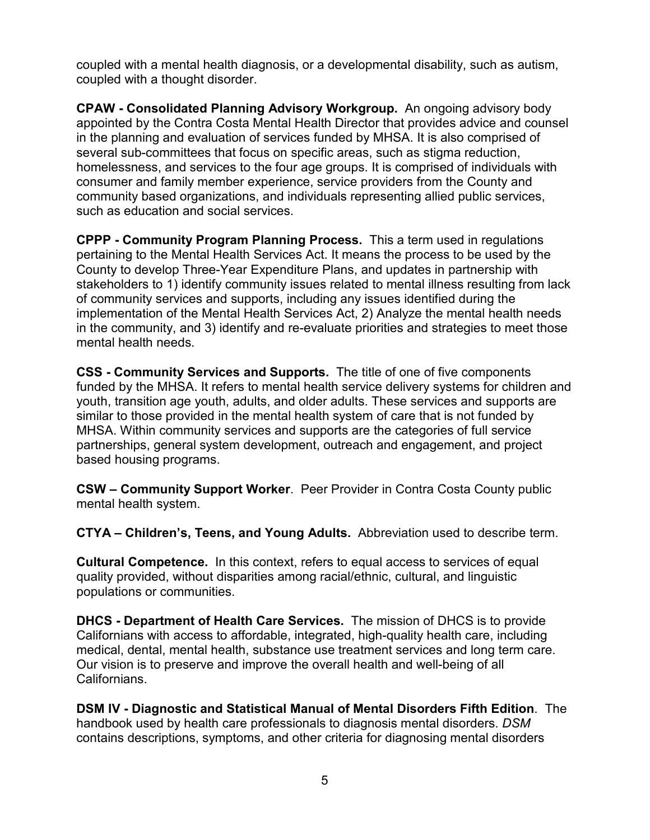coupled with a mental health diagnosis, or a developmental disability, such as autism, coupled with a thought disorder.

**CPAW - Consolidated Planning Advisory Workgroup.** An ongoing advisory body appointed by the Contra Costa Mental Health Director that provides advice and counsel in the planning and evaluation of services funded by MHSA. It is also comprised of several sub-committees that focus on specific areas, such as stigma reduction, homelessness, and services to the four age groups. It is comprised of individuals with consumer and family member experience, service providers from the County and community based organizations, and individuals representing allied public services, such as education and social services.

**CPPP - Community Program Planning Process.** This a term used in regulations pertaining to the Mental Health Services Act. It means the process to be used by the County to develop Three-Year Expenditure Plans, and updates in partnership with stakeholders to 1) identify community issues related to mental illness resulting from lack of community services and supports, including any issues identified during the implementation of the Mental Health Services Act, 2) Analyze the mental health needs in the community, and 3) identify and re-evaluate priorities and strategies to meet those mental health needs.

**CSS - Community Services and Supports.** The title of one of five components funded by the MHSA. It refers to mental health service delivery systems for children and youth, transition age youth, adults, and older adults. These services and supports are similar to those provided in the mental health system of care that is not funded by MHSA. Within community services and supports are the categories of full service partnerships, general system development, outreach and engagement, and project based housing programs.

**CSW – Community Support Worker**. Peer Provider in Contra Costa County public mental health system.

**CTYA – Children's, Teens, and Young Adults.** Abbreviation used to describe term.

**Cultural Competence.** In this context, refers to equal access to services of equal quality provided, without disparities among racial/ethnic, cultural, and linguistic populations or communities.

**DHCS - Department of Health Care Services.** The mission of DHCS is to provide Californians with access to affordable, integrated, high-quality health care, including medical, dental, mental health, substance use treatment services and long term care. Our vision is to preserve and improve the overall health and well-being of all Californians.

**DSM IV - Diagnostic and Statistical Manual of Mental Disorders Fifth Edition**. The handbook used by health care professionals to diagnosis mental disorders. *DSM*  contains descriptions, symptoms, and other criteria for diagnosing mental disorders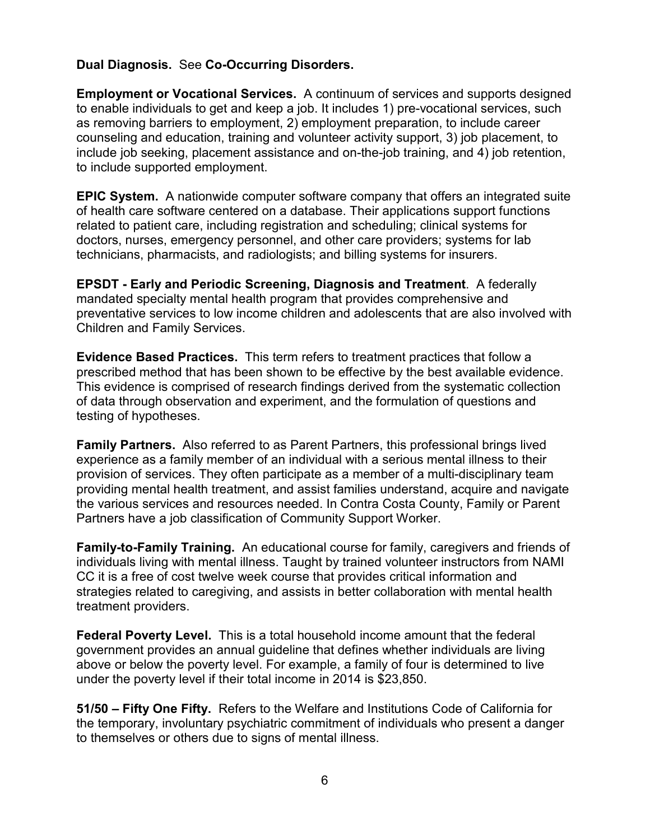## **Dual Diagnosis.** See **Co-Occurring Disorders.**

**Employment or Vocational Services.** A continuum of services and supports designed to enable individuals to get and keep a job. It includes 1) pre-vocational services, such as removing barriers to employment, 2) employment preparation, to include career counseling and education, training and volunteer activity support, 3) job placement, to include job seeking, placement assistance and on-the-job training, and 4) job retention, to include supported employment.

**EPIC System.** A nationwide computer software company that offers an integrated suite of health care software centered on a database. Their applications support functions related to patient care, including registration and scheduling; clinical systems for doctors, nurses, emergency personnel, and other care providers; systems for lab technicians, pharmacists, and radiologists; and billing systems for insurers.

**EPSDT - Early and Periodic Screening, Diagnosis and Treatment**. A federally mandated specialty mental health program that provides comprehensive and preventative services to low income children and adolescents that are also involved with Children and Family Services.

**Evidence Based Practices.** This term refers to treatment practices that follow a prescribed method that has been shown to be effective by the best available evidence. This evidence is comprised of research findings derived from the systematic collection of data through observation and experiment, and the formulation of questions and testing of hypotheses.

**Family Partners.** Also referred to as Parent Partners, this professional brings lived experience as a family member of an individual with a serious mental illness to their provision of services. They often participate as a member of a multi-disciplinary team providing mental health treatment, and assist families understand, acquire and navigate the various services and resources needed. In Contra Costa County, Family or Parent Partners have a job classification of Community Support Worker.

**Family-to-Family Training.** An educational course for family, caregivers and friends of individuals living with mental illness. Taught by trained volunteer instructors from NAMI CC it is a free of cost twelve week course that provides critical information and strategies related to caregiving, and assists in better collaboration with mental health treatment providers.

**Federal Poverty Level.** This is a total household income amount that the federal government provides an annual guideline that defines whether individuals are living above or below the poverty level. For example, a family of four is determined to live under the poverty level if their total income in 2014 is \$23,850.

**51/50 – Fifty One Fifty.** Refers to the Welfare and Institutions Code of California for the temporary, involuntary psychiatric commitment of individuals who present a danger to themselves or others due to signs of mental illness.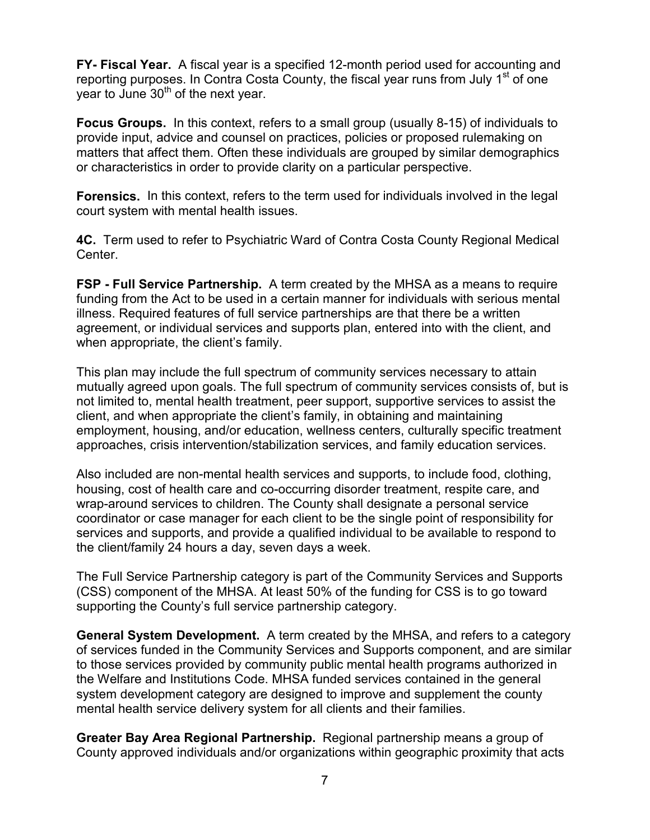**FY- Fiscal Year.** A fiscal year is a specified 12-month period used for accounting and reporting purposes. In Contra Costa County, the fiscal year runs from July 1<sup>st</sup> of one year to June  $30<sup>th</sup>$  of the next year.

**Focus Groups.** In this context, refers to a small group (usually 8-15) of individuals to provide input, advice and counsel on practices, policies or proposed rulemaking on matters that affect them. Often these individuals are grouped by similar demographics or characteristics in order to provide clarity on a particular perspective.

**Forensics.** In this context, refers to the term used for individuals involved in the legal court system with mental health issues.

**4C.** Term used to refer to Psychiatric Ward of Contra Costa County Regional Medical Center.

**FSP - Full Service Partnership.** A term created by the MHSA as a means to require funding from the Act to be used in a certain manner for individuals with serious mental illness. Required features of full service partnerships are that there be a written agreement, or individual services and supports plan, entered into with the client, and when appropriate, the client's family.

This plan may include the full spectrum of community services necessary to attain mutually agreed upon goals. The full spectrum of community services consists of, but is not limited to, mental health treatment, peer support, supportive services to assist the client, and when appropriate the client's family, in obtaining and maintaining employment, housing, and/or education, wellness centers, culturally specific treatment approaches, crisis intervention/stabilization services, and family education services.

Also included are non-mental health services and supports, to include food, clothing, housing, cost of health care and co-occurring disorder treatment, respite care, and wrap-around services to children. The County shall designate a personal service coordinator or case manager for each client to be the single point of responsibility for services and supports, and provide a qualified individual to be available to respond to the client/family 24 hours a day, seven days a week.

The Full Service Partnership category is part of the Community Services and Supports (CSS) component of the MHSA. At least 50% of the funding for CSS is to go toward supporting the County's full service partnership category.

**General System Development.** A term created by the MHSA, and refers to a category of services funded in the Community Services and Supports component, and are similar to those services provided by community public mental health programs authorized in the Welfare and Institutions Code. MHSA funded services contained in the general system development category are designed to improve and supplement the county mental health service delivery system for all clients and their families.

**Greater Bay Area Regional Partnership.** Regional partnership means a group of County approved individuals and/or organizations within geographic proximity that acts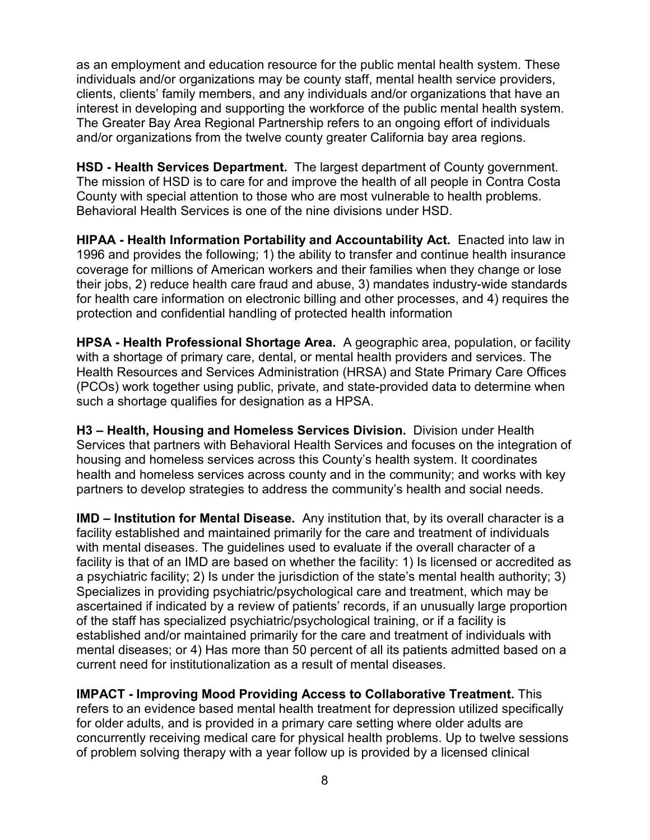as an employment and education resource for the public mental health system. These individuals and/or organizations may be county staff, mental health service providers, clients, clients' family members, and any individuals and/or organizations that have an interest in developing and supporting the workforce of the public mental health system. The Greater Bay Area Regional Partnership refers to an ongoing effort of individuals and/or organizations from the twelve county greater California bay area regions.

**HSD - Health Services Department.** The largest department of County government. The mission of HSD is to care for and improve the health of all people in Contra Costa County with special attention to those who are most vulnerable to health problems. Behavioral Health Services is one of the nine divisions under HSD.

**HIPAA - Health Information Portability and Accountability Act.** Enacted into law in 1996 and provides the following; 1) the ability to transfer and continue health insurance coverage for millions of American workers and their families when they change or lose their jobs, 2) reduce health care fraud and abuse, 3) mandates industry-wide standards for health care information on electronic billing and other processes, and 4) requires the protection and confidential handling of protected health information

**HPSA - Health Professional Shortage Area.** A geographic area, population, or facility with a shortage of primary care, dental, or mental health providers and services. The Health Resources and Services Administration (HRSA) and State Primary Care Offices (PCOs) work together using public, private, and state-provided data to determine when such a shortage qualifies for designation as a HPSA.

**H3 – Health, Housing and Homeless Services Division.** Division under Health Services that partners with Behavioral Health Services and focuses on the integration of housing and homeless services across this County's health system. It coordinates health and homeless services across county and in the community; and works with key partners to develop strategies to address the community's health and social needs.

**IMD – Institution for Mental Disease.** Any institution that, by its overall character is a facility established and maintained primarily for the care and treatment of individuals with mental diseases. The guidelines used to evaluate if the overall character of a facility is that of an IMD are based on whether the facility: 1) Is licensed or accredited as a psychiatric facility; 2) Is under the jurisdiction of the state's mental health authority; 3) Specializes in providing psychiatric/psychological care and treatment, which may be ascertained if indicated by a review of patients' records, if an unusually large proportion of the staff has specialized psychiatric/psychological training, or if a facility is established and/or maintained primarily for the care and treatment of individuals with mental diseases; or 4) Has more than 50 percent of all its patients admitted based on a current need for institutionalization as a result of mental diseases.

**IMPACT - Improving Mood Providing Access to Collaborative Treatment.** This refers to an evidence based mental health treatment for depression utilized specifically for older adults, and is provided in a primary care setting where older adults are concurrently receiving medical care for physical health problems. Up to twelve sessions of problem solving therapy with a year follow up is provided by a licensed clinical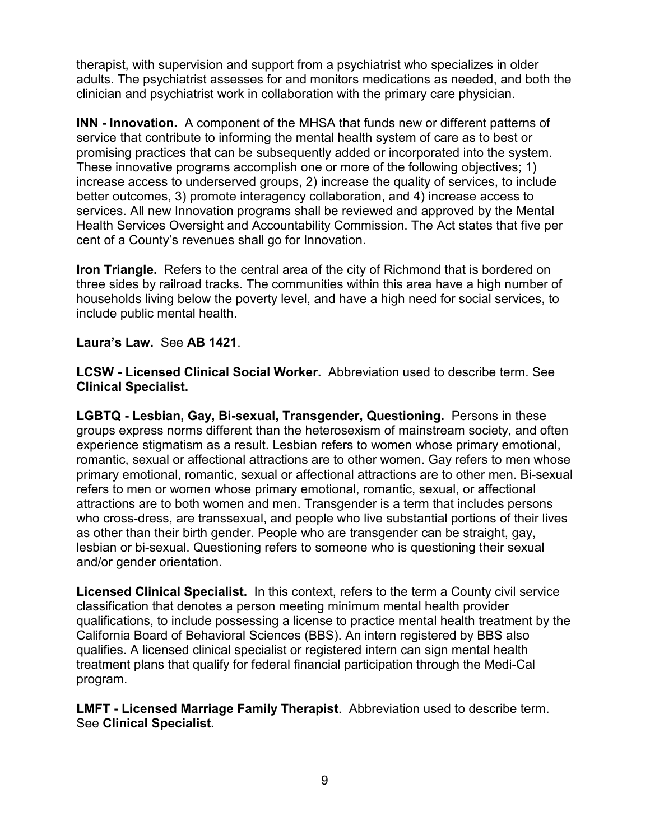therapist, with supervision and support from a psychiatrist who specializes in older adults. The psychiatrist assesses for and monitors medications as needed, and both the clinician and psychiatrist work in collaboration with the primary care physician.

**INN - Innovation.** A component of the MHSA that funds new or different patterns of service that contribute to informing the mental health system of care as to best or promising practices that can be subsequently added or incorporated into the system. These innovative programs accomplish one or more of the following objectives; 1) increase access to underserved groups, 2) increase the quality of services, to include better outcomes, 3) promote interagency collaboration, and 4) increase access to services. All new Innovation programs shall be reviewed and approved by the Mental Health Services Oversight and Accountability Commission. The Act states that five per cent of a County's revenues shall go for Innovation.

**Iron Triangle.** Refers to the central area of the city of Richmond that is bordered on three sides by railroad tracks. The communities within this area have a high number of households living below the poverty level, and have a high need for social services, to include public mental health.

## **Laura's Law.** See **AB 1421**.

**LCSW - Licensed Clinical Social Worker.** Abbreviation used to describe term. See **Clinical Specialist.**

**LGBTQ - Lesbian, Gay, Bi-sexual, Transgender, Questioning.** Persons in these groups express norms different than the heterosexism of mainstream society, and often experience stigmatism as a result. Lesbian refers to women whose primary emotional, romantic, sexual or affectional attractions are to other women. Gay refers to men whose primary emotional, romantic, sexual or affectional attractions are to other men. Bi-sexual refers to men or women whose primary emotional, romantic, sexual, or affectional attractions are to both women and men. Transgender is a term that includes persons who cross-dress, are transsexual, and people who live substantial portions of their lives as other than their birth gender. People who are transgender can be straight, gay, lesbian or bi-sexual. Questioning refers to someone who is questioning their sexual and/or gender orientation.

**Licensed Clinical Specialist.** In this context, refers to the term a County civil service classification that denotes a person meeting minimum mental health provider qualifications, to include possessing a license to practice mental health treatment by the California Board of Behavioral Sciences (BBS). An intern registered by BBS also qualifies. A licensed clinical specialist or registered intern can sign mental health treatment plans that qualify for federal financial participation through the Medi-Cal program.

**LMFT - Licensed Marriage Family Therapist**. Abbreviation used to describe term. See **Clinical Specialist.**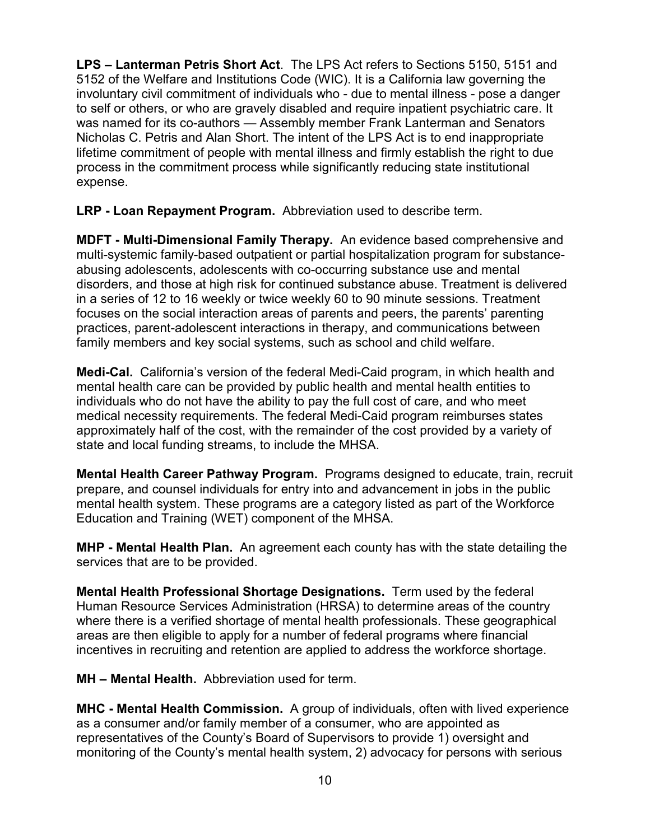**LPS – Lanterman Petris Short Act**. The LPS Act refers to Sections 5150, 5151 and 5152 of the Welfare and Institutions Code (WIC). It is a California law governing the involuntary civil commitment of individuals who - due to mental illness - pose a danger to self or others, or who are gravely disabled and require inpatient psychiatric care. It was named for its co-authors — Assembly member Frank Lanterman and Senators Nicholas C. Petris and Alan Short. The intent of the LPS Act is to end inappropriate lifetime commitment of people with mental illness and firmly establish the right to due process in the commitment process while significantly reducing state institutional expense.

**LRP - Loan Repayment Program.** Abbreviation used to describe term.

**MDFT - Multi-Dimensional Family Therapy.** An evidence based comprehensive and multi-systemic family-based outpatient or partial hospitalization program for substanceabusing adolescents, adolescents with co-occurring substance use and mental disorders, and those at high risk for continued substance abuse. Treatment is delivered in a series of 12 to 16 weekly or twice weekly 60 to 90 minute sessions. Treatment focuses on the social interaction areas of parents and peers, the parents' parenting practices, parent-adolescent interactions in therapy, and communications between family members and key social systems, such as school and child welfare.

**Medi-Cal.** California's version of the federal Medi-Caid program, in which health and mental health care can be provided by public health and mental health entities to individuals who do not have the ability to pay the full cost of care, and who meet medical necessity requirements. The federal Medi-Caid program reimburses states approximately half of the cost, with the remainder of the cost provided by a variety of state and local funding streams, to include the MHSA.

**Mental Health Career Pathway Program.** Programs designed to educate, train, recruit prepare, and counsel individuals for entry into and advancement in jobs in the public mental health system. These programs are a category listed as part of the Workforce Education and Training (WET) component of the MHSA.

**MHP - Mental Health Plan.** An agreement each county has with the state detailing the services that are to be provided.

**Mental Health Professional Shortage Designations.** Term used by the federal Human Resource Services Administration (HRSA) to determine areas of the country where there is a verified shortage of mental health professionals. These geographical areas are then eligible to apply for a number of federal programs where financial incentives in recruiting and retention are applied to address the workforce shortage.

**MH – Mental Health.** Abbreviation used for term.

**MHC - Mental Health Commission.** A group of individuals, often with lived experience as a consumer and/or family member of a consumer, who are appointed as representatives of the County's Board of Supervisors to provide 1) oversight and monitoring of the County's mental health system, 2) advocacy for persons with serious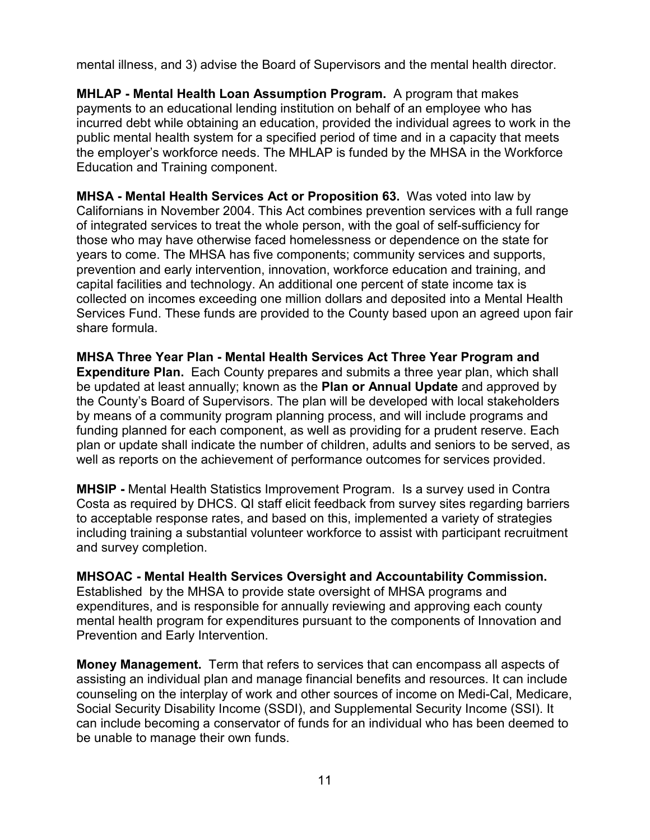mental illness, and 3) advise the Board of Supervisors and the mental health director.

**MHLAP - Mental Health Loan Assumption Program.** A program that makes payments to an educational lending institution on behalf of an employee who has incurred debt while obtaining an education, provided the individual agrees to work in the public mental health system for a specified period of time and in a capacity that meets the employer's workforce needs. The MHLAP is funded by the MHSA in the Workforce Education and Training component.

**MHSA - Mental Health Services Act or Proposition 63.** Was voted into law by Californians in November 2004. This Act combines prevention services with a full range of integrated services to treat the whole person, with the goal of self-sufficiency for those who may have otherwise faced homelessness or dependence on the state for years to come. The MHSA has five components; community services and supports, prevention and early intervention, innovation, workforce education and training, and capital facilities and technology. An additional one percent of state income tax is collected on incomes exceeding one million dollars and deposited into a Mental Health Services Fund. These funds are provided to the County based upon an agreed upon fair share formula.

**MHSA Three Year Plan - Mental Health Services Act Three Year Program and Expenditure Plan.** Each County prepares and submits a three year plan, which shall be updated at least annually; known as the **Plan or Annual Update** and approved by the County's Board of Supervisors. The plan will be developed with local stakeholders by means of a community program planning process, and will include programs and funding planned for each component, as well as providing for a prudent reserve. Each plan or update shall indicate the number of children, adults and seniors to be served, as well as reports on the achievement of performance outcomes for services provided.

**MHSIP -** Mental Health Statistics Improvement Program. Is a survey used in Contra Costa as required by DHCS. QI staff elicit feedback from survey sites regarding barriers to acceptable response rates, and based on this, implemented a variety of strategies including training a substantial volunteer workforce to assist with participant recruitment and survey completion.

**MHSOAC - Mental Health Services Oversight and Accountability Commission.**  Established by the MHSA to provide state oversight of MHSA programs and expenditures, and is responsible for annually reviewing and approving each county mental health program for expenditures pursuant to the components of Innovation and Prevention and Early Intervention.

**Money Management.** Term that refers to services that can encompass all aspects of assisting an individual plan and manage financial benefits and resources. It can include counseling on the interplay of work and other sources of income on Medi-Cal, Medicare, Social Security Disability Income (SSDI), and Supplemental Security Income (SSI). It can include becoming a conservator of funds for an individual who has been deemed to be unable to manage their own funds.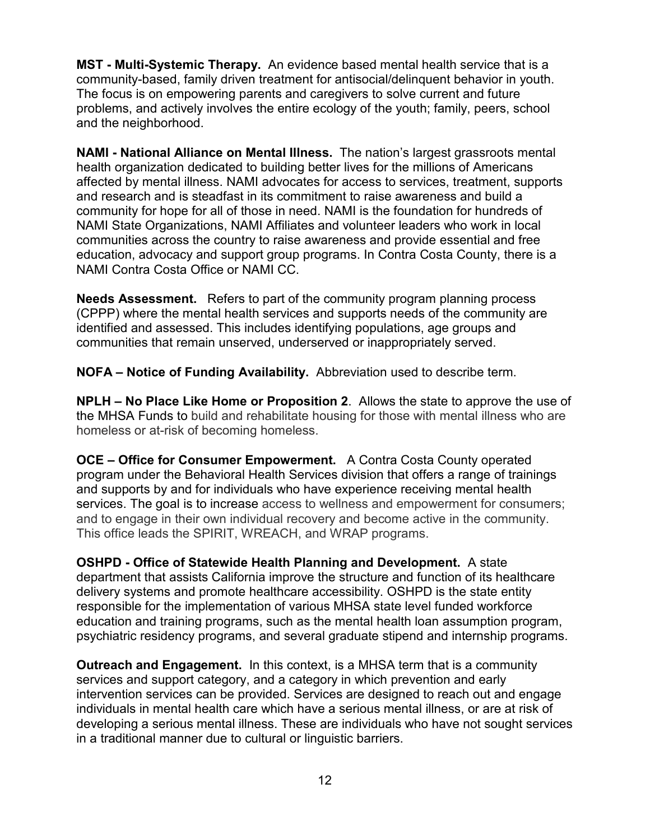**MST - Multi-Systemic Therapy.** An evidence based mental health service that is a community-based, family driven treatment for antisocial/delinquent behavior in youth. The focus is on empowering parents and caregivers to solve current and future problems, and actively involves the entire ecology of the youth; family, peers, school and the neighborhood.

**NAMI - National Alliance on Mental Illness.** The nation's largest grassroots mental health organization dedicated to building better lives for the millions of Americans affected by mental illness. NAMI advocates for access to services, treatment, supports and research and is steadfast in its commitment to raise awareness and build a community for hope for all of those in need. NAMI is the foundation for hundreds of NAMI State Organizations, NAMI Affiliates and volunteer leaders who work in local communities across the country to raise awareness and provide essential and free education, advocacy and support group programs. In Contra Costa County, there is a NAMI Contra Costa Office or NAMI CC.

**Needs Assessment.** Refers to part of the community program planning process (CPPP) where the mental health services and supports needs of the community are identified and assessed. This includes identifying populations, age groups and communities that remain unserved, underserved or inappropriately served.

**NOFA – Notice of Funding Availability.** Abbreviation used to describe term.

**NPLH – No Place Like Home or Proposition 2**. Allows the state to approve the use of the MHSA Funds to build and rehabilitate housing for those with mental illness who are homeless or at-risk of becoming homeless.

**OCE – Office for Consumer Empowerment.** A Contra Costa County operated program under the Behavioral Health Services division that offers a range of trainings and supports by and for individuals who have experience receiving mental health services. The goal is to increase access to wellness and empowerment for consumers; and to engage in their own individual recovery and become active in the community. This office leads the SPIRIT, WREACH, and WRAP programs.

**OSHPD - Office of Statewide Health Planning and Development.** A state department that assists California improve the structure and function of its healthcare delivery systems and promote healthcare accessibility. OSHPD is the state entity responsible for the implementation of various MHSA state level funded workforce education and training programs, such as the mental health loan assumption program, psychiatric residency programs, and several graduate stipend and internship programs.

**Outreach and Engagement.** In this context, is a MHSA term that is a community services and support category, and a category in which prevention and early intervention services can be provided. Services are designed to reach out and engage individuals in mental health care which have a serious mental illness, or are at risk of developing a serious mental illness. These are individuals who have not sought services in a traditional manner due to cultural or linguistic barriers.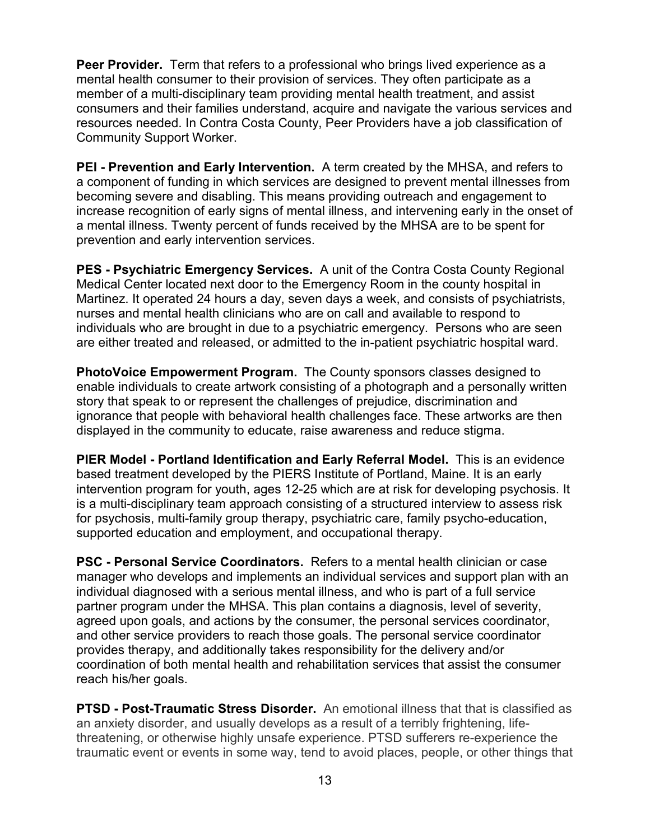**Peer Provider.** Term that refers to a professional who brings lived experience as a mental health consumer to their provision of services. They often participate as a member of a multi-disciplinary team providing mental health treatment, and assist consumers and their families understand, acquire and navigate the various services and resources needed. In Contra Costa County, Peer Providers have a job classification of Community Support Worker.

**PEI - Prevention and Early Intervention.** A term created by the MHSA, and refers to a component of funding in which services are designed to prevent mental illnesses from becoming severe and disabling. This means providing outreach and engagement to increase recognition of early signs of mental illness, and intervening early in the onset of a mental illness. Twenty percent of funds received by the MHSA are to be spent for prevention and early intervention services.

**PES - Psychiatric Emergency Services.** A unit of the Contra Costa County Regional Medical Center located next door to the Emergency Room in the county hospital in Martinez. It operated 24 hours a day, seven days a week, and consists of psychiatrists, nurses and mental health clinicians who are on call and available to respond to individuals who are brought in due to a psychiatric emergency. Persons who are seen are either treated and released, or admitted to the in-patient psychiatric hospital ward.

**PhotoVoice Empowerment Program.** The County sponsors classes designed to enable individuals to create artwork consisting of a photograph and a personally written story that speak to or represent the challenges of prejudice, discrimination and ignorance that people with behavioral health challenges face. These artworks are then displayed in the community to educate, raise awareness and reduce stigma.

**PIER Model - Portland Identification and Early Referral Model.** This is an evidence based treatment developed by the PIERS Institute of Portland, Maine. It is an early intervention program for youth, ages 12-25 which are at risk for developing psychosis. It is a multi-disciplinary team approach consisting of a structured interview to assess risk for psychosis, multi-family group therapy, psychiatric care, family psycho-education, supported education and employment, and occupational therapy.

**PSC - Personal Service Coordinators.** Refers to a mental health clinician or case manager who develops and implements an individual services and support plan with an individual diagnosed with a serious mental illness, and who is part of a full service partner program under the MHSA. This plan contains a diagnosis, level of severity, agreed upon goals, and actions by the consumer, the personal services coordinator, and other service providers to reach those goals. The personal service coordinator provides therapy, and additionally takes responsibility for the delivery and/or coordination of both mental health and rehabilitation services that assist the consumer reach his/her goals.

**PTSD - Post-Traumatic Stress Disorder.** An emotional illness that that is classified as an anxiety disorder, and usually develops as a result of a terribly frightening, lifethreatening, or otherwise highly unsafe experience. PTSD sufferers re-experience the traumatic event or events in some way, tend to avoid places, people, or other things that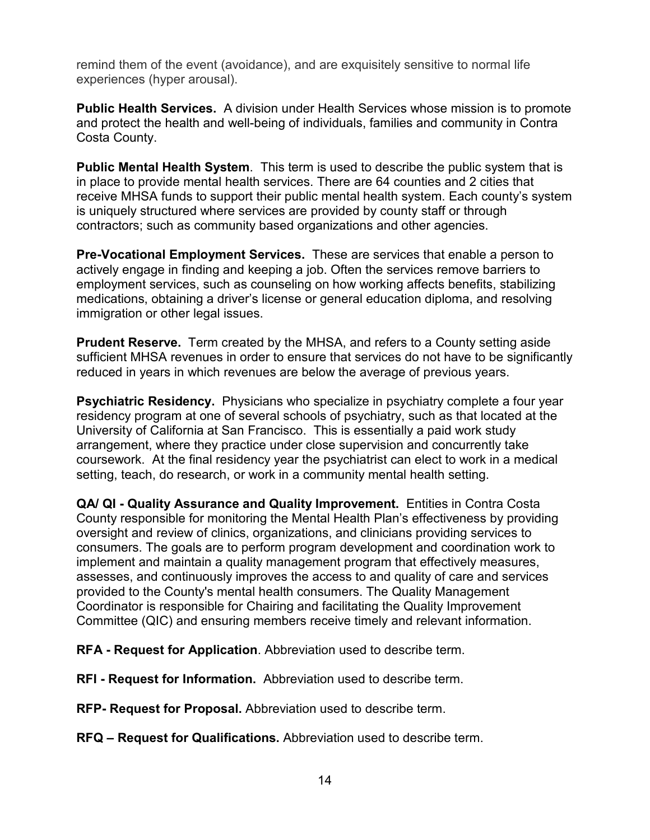remind them of the event (avoidance), and are exquisitely sensitive to normal life experiences (hyper arousal).

**Public Health Services.** A division under Health Services whose mission is to promote and protect the health and well-being of individuals, families and community in Contra Costa County.

**Public Mental Health System**. This term is used to describe the public system that is in place to provide mental health services. There are 64 counties and 2 cities that receive MHSA funds to support their public mental health system. Each county's system is uniquely structured where services are provided by county staff or through contractors; such as community based organizations and other agencies.

**Pre-Vocational Employment Services.** These are services that enable a person to actively engage in finding and keeping a job. Often the services remove barriers to employment services, such as counseling on how working affects benefits, stabilizing medications, obtaining a driver's license or general education diploma, and resolving immigration or other legal issues.

**Prudent Reserve.** Term created by the MHSA, and refers to a County setting aside sufficient MHSA revenues in order to ensure that services do not have to be significantly reduced in years in which revenues are below the average of previous years.

**Psychiatric Residency.** Physicians who specialize in psychiatry complete a four year residency program at one of several schools of psychiatry, such as that located at the University of California at San Francisco. This is essentially a paid work study arrangement, where they practice under close supervision and concurrently take coursework. At the final residency year the psychiatrist can elect to work in a medical setting, teach, do research, or work in a community mental health setting.

**QA/ QI - Quality Assurance and Quality Improvement.** Entities in Contra Costa County responsible for monitoring the Mental Health Plan's effectiveness by providing oversight and review of clinics, organizations, and clinicians providing services to consumers. The goals are to perform program development and coordination work to implement and maintain a quality management program that effectively measures, assesses, and continuously improves the access to and quality of care and services provided to the County's mental health consumers. The Quality Management Coordinator is responsible for Chairing and facilitating the Quality Improvement Committee (QIC) and ensuring members receive timely and relevant information.

**RFA - Request for Application**. Abbreviation used to describe term.

**RFI - Request for Information.** Abbreviation used to describe term.

**RFP- Request for Proposal.** Abbreviation used to describe term.

**RFQ – Request for Qualifications.** Abbreviation used to describe term.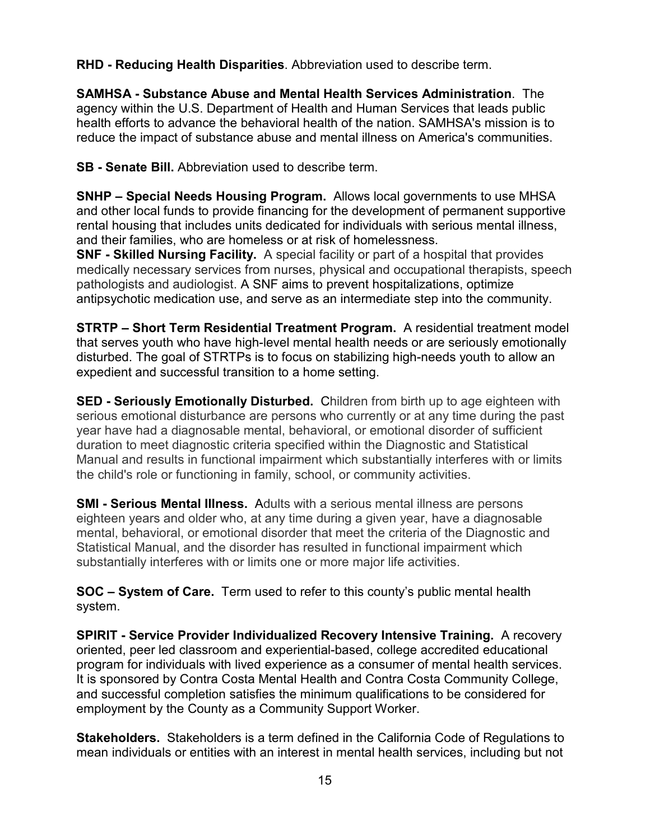**RHD - Reducing Health Disparities**. Abbreviation used to describe term.

**SAMHSA - Substance Abuse and Mental Health Services Administration**. The agency within the U.S. Department of Health and Human Services that leads public health efforts to advance the behavioral health of the nation. SAMHSA's mission is to reduce the impact of substance abuse and mental illness on America's communities.

**SB - Senate Bill.** Abbreviation used to describe term.

**SNHP – Special Needs Housing Program.** Allows local governments to use MHSA and other local funds to provide financing for the development of permanent supportive rental housing that includes units dedicated for individuals with serious mental illness, and their families, who are homeless or at risk of homelessness.

**SNF - Skilled Nursing Facility.** A special facility or part of a hospital that provides medically necessary services from nurses, physical and occupational therapists, speech pathologists and audiologist. A SNF aims to prevent hospitalizations, optimize antipsychotic medication use, and serve as an intermediate step into the community.

**STRTP – Short Term Residential Treatment Program.** A residential treatment model that serves youth who have high-level mental health needs or are seriously emotionally disturbed. The goal of STRTPs is to focus on stabilizing high-needs youth to allow an expedient and successful transition to a home setting.

**SED - Seriously Emotionally Disturbed.** Children from birth up to age eighteen with serious emotional disturbance are persons who currently or at any time during the past year have had a diagnosable mental, behavioral, or emotional disorder of sufficient duration to meet diagnostic criteria specified within the Diagnostic and Statistical Manual and results in functional impairment which substantially interferes with or limits the child's role or functioning in family, school, or community activities.

**SMI - Serious Mental Illness.** Adults with a serious mental illness are persons eighteen years and older who, at any time during a given year, have a diagnosable mental, behavioral, or emotional disorder that meet the criteria of the Diagnostic and Statistical Manual, and the disorder has resulted in functional impairment which substantially interferes with or limits one or more major life activities.

**SOC – System of Care.** Term used to refer to this county's public mental health system.

**SPIRIT - Service Provider Individualized Recovery Intensive Training.** A recovery oriented, peer led classroom and experiential-based, college accredited educational program for individuals with lived experience as a consumer of mental health services. It is sponsored by Contra Costa Mental Health and Contra Costa Community College, and successful completion satisfies the minimum qualifications to be considered for employment by the County as a Community Support Worker.

**Stakeholders.** Stakeholders is a term defined in the California Code of Regulations to mean individuals or entities with an interest in mental health services, including but not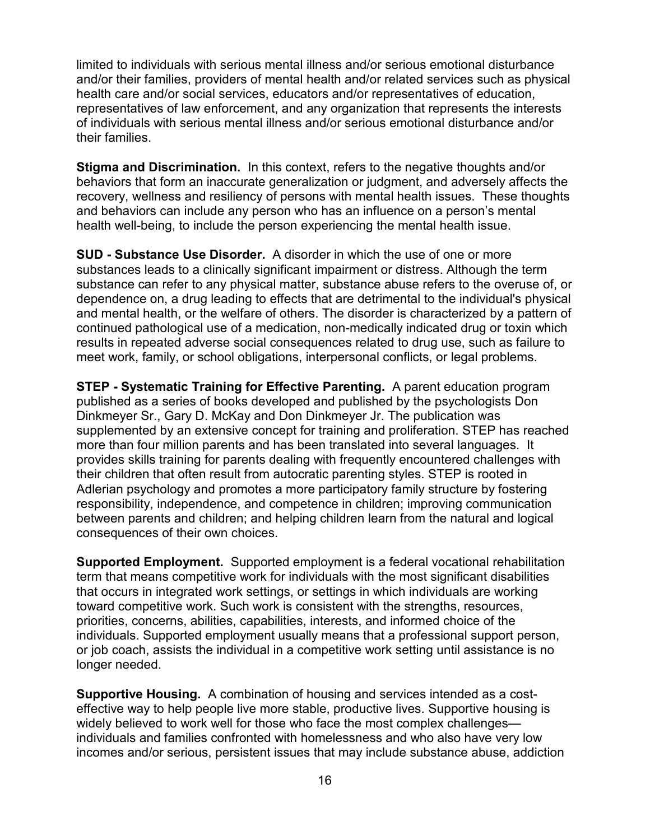limited to individuals with serious mental illness and/or serious emotional disturbance and/or their families, providers of mental health and/or related services such as physical health care and/or social services, educators and/or representatives of education, representatives of law enforcement, and any organization that represents the interests of individuals with serious mental illness and/or serious emotional disturbance and/or their families.

**Stigma and Discrimination.** In this context, refers to the negative thoughts and/or behaviors that form an inaccurate generalization or judgment, and adversely affects the recovery, wellness and resiliency of persons with mental health issues. These thoughts and behaviors can include any person who has an influence on a person's mental health well-being, to include the person experiencing the mental health issue.

**SUD - Substance Use Disorder.** A disorder in which the use of one or more substances leads to a clinically significant impairment or distress. Although the term substance can refer to any physical matter, substance abuse refers to the overuse of, or dependence on, a drug leading to effects that are detrimental to the individual's physical and mental health, or the welfare of others. The disorder is characterized by a pattern of continued pathological use of a medication, non-medically indicated drug or toxin which results in repeated adverse social consequences related to drug use, such as failure to meet work, family, or school obligations, interpersonal conflicts, or legal problems.

**STEP - Systematic Training for Effective Parenting.** A [parent education program](http://en.wikipedia.org/wiki/Parent_education_program) published as a series of books developed and published by the psychologists [Don](http://en.wikipedia.org/w/index.php?title=Don_Dinkmeyer&action=edit&redlink=1)  [Dinkmeyer](http://en.wikipedia.org/w/index.php?title=Don_Dinkmeyer&action=edit&redlink=1) Sr., [Gary D. McKay](http://en.wikipedia.org/w/index.php?title=Gary_D._McKay&action=edit&redlink=1) and Don Dinkmeyer Jr. The publication was supplemented by an extensive concept for training and proliferation. STEP has reached more than four million parents and has been translated into several languages. It provides skills training for parents dealing with frequently encountered challenges with their children that often result from autocratic parenting styles. STEP is rooted in Adlerian psychology and promotes a more participatory family structure by fostering responsibility, independence, and competence in children; improving communication between parents and children; and helping children learn from the natural and logical consequences of their own choices.

**Supported Employment.** Supported employment is a federal vocational rehabilitation term that means competitive work for individuals with the most significant disabilities that occurs in integrated work settings, or settings in which individuals are working toward competitive work. Such work is consistent with the strengths, resources, priorities, concerns, abilities, capabilities, interests, and informed choice of the individuals. Supported employment usually means that a professional support person, or job coach, assists the individual in a competitive work setting until assistance is no longer needed.

**Supportive Housing.** A combination of housing and services intended as a costeffective way to help people live more stable, productive lives. Supportive housing is widely believed to work well for those who face the most complex challenges individuals and families confronted with [homelessness](http://en.wikipedia.org/wiki/Homelessness) and who also have very low incomes and/or serious, persistent issues that may include [substance abuse,](http://en.wikipedia.org/wiki/Substance_abuse) [addiction](http://en.wikipedia.org/wiki/Substance_dependence)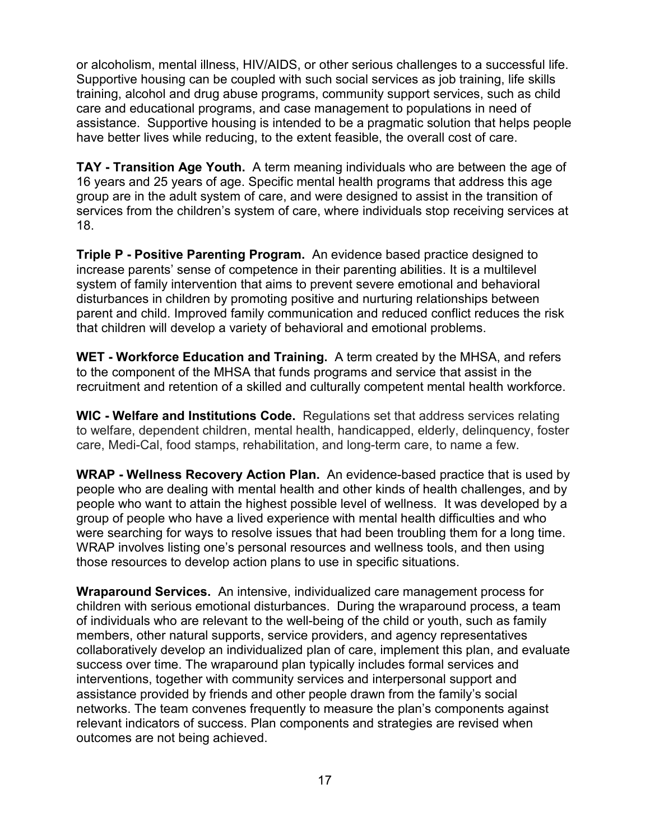or [alcoholism,](http://en.wikipedia.org/wiki/Alcoholism) [mental illness,](http://en.wikipedia.org/wiki/Mental_illness) HIV/AIDS, or other serious challenges to a successful life. Supportive housing can be coupled with such social services as job training, [life skills](http://en.wikipedia.org/wiki/Life_skill) training, alcohol and drug abuse programs, community support services, such as child care and educational programs, and case management to populations in need of assistance. Supportive housing is intended to be a pragmatic solution that helps people have better lives while reducing, to the extent feasible, the overall cost of care.

**TAY - Transition Age Youth.** A term meaning individuals who are between the age of 16 years and 25 years of age. Specific mental health programs that address this age group are in the adult system of care, and were designed to assist in the transition of services from the children's system of care, where individuals stop receiving services at 18.

**Triple P - Positive Parenting Program.** An evidence based practice designed to increase parents' sense of competence in their parenting abilities. It is a multilevel system of family intervention that aims to prevent severe emotional and behavioral disturbances in children by promoting positive and nurturing relationships between parent and child. Improved family communication and reduced conflict reduces the risk that children will develop a variety of behavioral and emotional problems.

**WET - Workforce Education and Training.** A term created by the MHSA, and refers to the component of the MHSA that funds programs and service that assist in the recruitment and retention of a skilled and culturally competent mental health workforce.

**WIC - Welfare and Institutions Code.** Regulations set that address services relating to welfare, dependent children, mental health, handicapped, elderly, delinquency, foster care, Medi-Cal, food stamps, rehabilitation, and long-term care, to name a few.

**WRAP - Wellness Recovery Action Plan.** An [evidence-based p](http://nrepp.samhsa.gov/ViewIntervention.aspx?id=208)ractice that is used by people who are dealing with mental health and other kinds of health challenges, and by people who want to attain the highest possible level of wellness. It was developed by a group of people who have a lived experience with mental health difficulties and who were searching for ways to resolve issues that had been troubling them for a long time. WRAP involves listing one's personal resources and wellness tools, and then using those resources to develop action plans to use in specific situations.

**Wraparound Services.** An intensive, individualized care management process for children with serious emotional disturbances. During the wraparound process, a team of individuals who are relevant to the well-being of the child or youth, such as family members, other natural supports, service providers, and agency representatives collaboratively develop an individualized plan of care, implement this plan, and evaluate success over time. The wraparound plan typically includes formal services and interventions, together with community services and interpersonal support and assistance provided by friends and other people drawn from the family's social networks. The team convenes frequently to measure the plan's components against relevant indicators of success. Plan components and strategies are revised when outcomes are not being achieved.